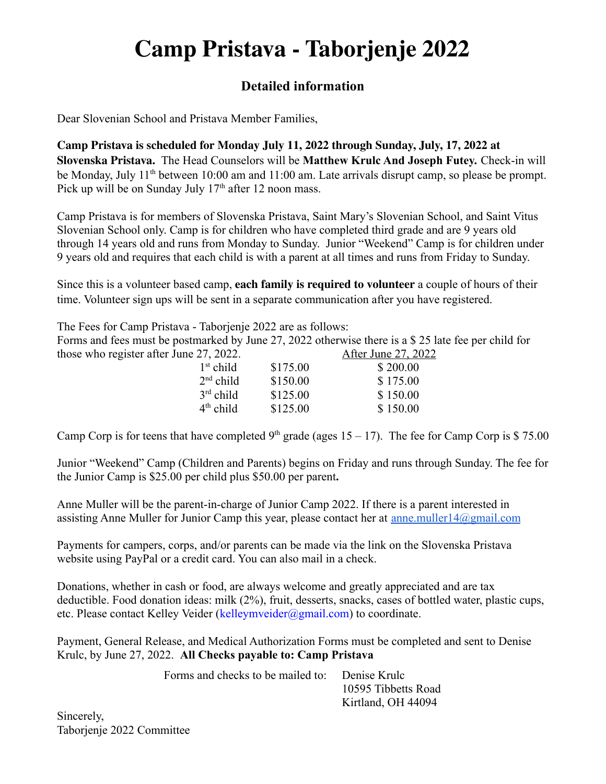## **Camp Pristava - Taborjenje 2022**

## **Detailed information**

Dear Slovenian School and Pristava Member Families,

**Camp Pristava is scheduled for Monday July 11, 2022 through Sunday, July, 17, 2022 at Slovenska Pristava.** The Head Counselors will be **Matthew Krulc And Joseph Futey.** Check-in will be Monday, July 11<sup>th</sup> between 10:00 am and 11:00 am. Late arrivals disrupt camp, so please be prompt. Pick up will be on Sunday July  $17<sup>th</sup>$  after 12 noon mass.

Camp Pristava is for members of Slovenska Pristava, Saint Mary's Slovenian School, and Saint Vitus Slovenian School only. Camp is for children who have completed third grade and are 9 years old through 14 years old and runs from Monday to Sunday. Junior "Weekend" Camp is for children under 9 years old and requires that each child is with a parent at all times and runs from Friday to Sunday.

Since this is a volunteer based camp, **each family is required to volunteer** a couple of hours of their time. Volunteer sign ups will be sent in a separate communication after you have registered.

The Fees for Camp Pristava - Taborjenje 2022 are as follows: Forms and fees must be postmarked by June 27, 2022 otherwise there is a \$ 25 late fee per child for those who register after June 27, 2022. After June 27, 2022

| <u>Alter Julie 27, 20</u> |
|---------------------------|
| \$200.00                  |
| \$175.00                  |
| \$150.00                  |
| \$150.00                  |
|                           |

Camp Corp is for teens that have completed 9<sup>th</sup> grade (ages  $15 - 17$ ). The fee for Camp Corp is \$ 75.00

Junior "Weekend" Camp (Children and Parents) begins on Friday and runs through Sunday. The fee for the Junior Camp is \$25.00 per child plus \$50.00 per parent**.**

Anne Muller will be the parent-in-charge of Junior Camp 2022. If there is a parent interested in assisting Anne Muller for Junior Camp this year, please contact her at anne.muller $14@g$ gmail.com

Payments for campers, corps, and/or parents can be made via the link on the Slovenska Pristava website using PayPal or a credit card. You can also mail in a check.

Donations, whether in cash or food, are always welcome and greatly appreciated and are tax deductible. Food donation ideas: milk (2%), fruit, desserts, snacks, cases of bottled water, plastic cups, etc. Please contact Kelley Veider (kelleymveider@gmail.com) to coordinate.

Payment, General Release, and Medical Authorization Forms must be completed and sent to Denise Krulc, by June 27, 2022. **All Checks payable to: Camp Pristava**

| Forms and checks to be mailed to: Denise Krulc |                     |
|------------------------------------------------|---------------------|
|                                                | 10595 Tibbetts Road |
|                                                | Kirtland, OH 44094  |

Sincerely, Taborjenje 2022 Committee